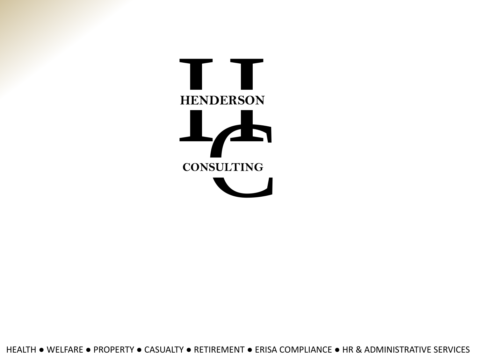

HEALTH ● WELFARE ● PROPERTY ● CASUALTY ● RETIREMENT ● ERISA COMPLIANCE ● HR & ADMINISTRATIVE SERVICES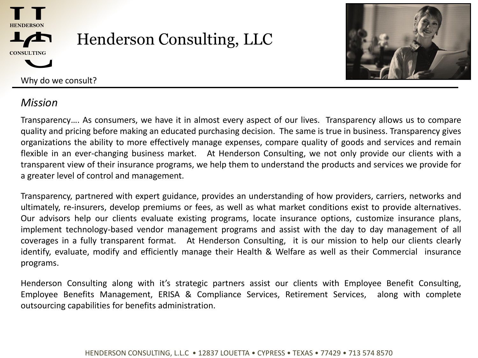



Why do we consult?

## *Mission*

Transparency…. As consumers, we have it in almost every aspect of our lives. Transparency allows us to compare quality and pricing before making an educated purchasing decision. The same is true in business. Transparency gives organizations the ability to more effectively manage expenses, compare quality of goods and services and remain flexible in an ever-changing business market. At Henderson Consulting, we not only provide our clients with a transparent view of their insurance programs, we help them to understand the products and services we provide for a greater level of control and management.

Transparency, partnered with expert guidance, provides an understanding of how providers, carriers, networks and ultimately, re-insurers, develop premiums or fees, as well as what market conditions exist to provide alternatives. Our advisors help our clients evaluate existing programs, locate insurance options, customize insurance plans, implement technology-based vendor management programs and assist with the day to day management of all coverages in a fully transparent format. At Henderson Consulting, it is our mission to help our clients clearly identify, evaluate, modify and efficiently manage their Health & Welfare as well as their Commercial insurance programs.

Henderson Consulting along with it's strategic partners assist our clients with Employee Benefit Consulting, Employee Benefits Management, ERISA & Compliance Services, Retirement Services, along with complete outsourcing capabilities for benefits administration.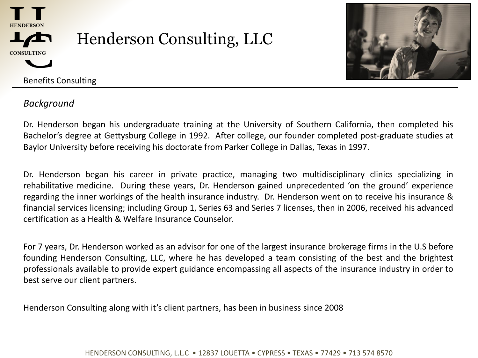



Benefits Consulting

### *Background*

Dr. Henderson began his undergraduate training at the University of Southern California, then completed his Bachelor's degree at Gettysburg College in 1992. After college, our founder completed post-graduate studies at Baylor University before receiving his doctorate from Parker College in Dallas, Texas in 1997.

Dr. Henderson began his career in private practice, managing two multidisciplinary clinics specializing in rehabilitative medicine. During these years, Dr. Henderson gained unprecedented 'on the ground' experience regarding the inner workings of the health insurance industry. Dr. Henderson went on to receive his insurance & financial services licensing; including Group 1, Series 63 and Series 7 licenses, then in 2006, received his advanced certification as a Health & Welfare Insurance Counselor.

For 7 years, Dr. Henderson worked as an advisor for one of the largest insurance brokerage firms in the U.S before founding Henderson Consulting, LLC, where he has developed a team consisting of the best and the brightest professionals available to provide expert guidance encompassing all aspects of the insurance industry in order to best serve our client partners.

Henderson Consulting along with it's client partners, has been in business since 2008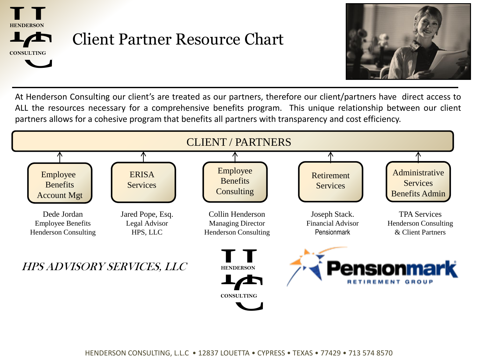



At Henderson Consulting our client's are treated as our partners, therefore our client/partners have direct access to ALL the resources necessary for a comprehensive benefits program. This unique relationship between our client partners allows for a cohesive program that benefits all partners with transparency and cost efficiency.

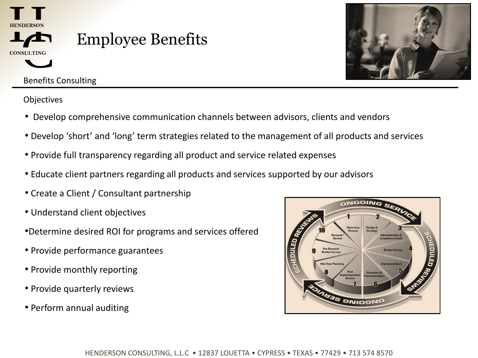![](_page_4_Picture_0.jpeg)

### Benefits Consulting

**Objectives** 

- Develop comprehensive communication channels between advisors, clients and vendors
- Develop 'short' and 'long' term strategies related to the management of all products and services
- Provide full transparency regarding all product and service related expenses
- Educate client partners regarding all products and services supported by our advisors
- Create a Client / Consultant partnership
- Understand client objectives
- •Determine desired ROI for programs and services offered
- Provide performance guarantees
- Provide monthly reporting
- Provide quarterly reviews
- Perform annual auditing

![](_page_4_Picture_14.jpeg)

![](_page_4_Picture_15.jpeg)

![](_page_4_Figure_16.jpeg)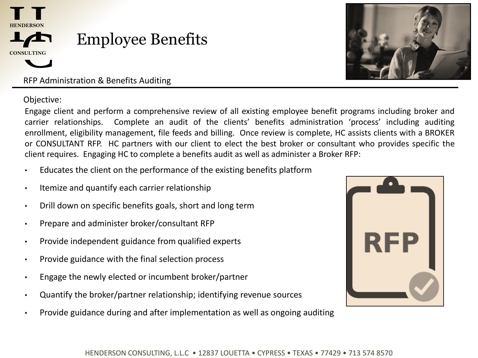![](_page_5_Picture_0.jpeg)

# Employee Benefits

RFP Administration & Benefits Auditing

Objective:

Engage client and perform a comprehensive review of all existing employee benefit programs including broker and carrier relationships. Complete an audit of the clients' benefits administration 'process' including auditing enrollment, eligibility management, file feeds and billing. Once review is complete, HC assists clients with a BROKER or CONSULTANT RFP. HC partners with our client to elect the best broker or consultant who provides specific the client requires. Engaging HC to complete a benefits audit as well as administer a Broker RFP:

- Educates the client on the performance of the existing benefits platform
- Itemize and quantify each carrier relationship
- Drill down on specific benefits goals, short and long term
- Prepare and administer broker/consultant RFP
- Provide independent guidance from qualified experts
- Provide guidance with the final selection process
- Engage the newly elected or incumbent broker/partner
- Quantify the broker/partner relationship; identifying revenue sources
- Provide guidance during and after implementation as well as ongoing auditing

![](_page_5_Picture_14.jpeg)

![](_page_5_Picture_15.jpeg)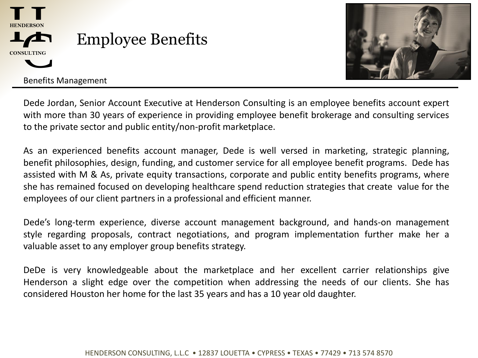![](_page_6_Picture_0.jpeg)

![](_page_6_Picture_1.jpeg)

Benefits Management

Dede Jordan, Senior Account Executive at Henderson Consulting is an employee benefits account expert with more than 30 years of experience in providing employee benefit brokerage and consulting services to the private sector and public entity/non-profit marketplace.

As an experienced benefits account manager, Dede is well versed in marketing, strategic planning, benefit philosophies, design, funding, and customer service for all employee benefit programs. Dede has assisted with M & As, private equity transactions, corporate and public entity benefits programs, where she has remained focused on developing healthcare spend reduction strategies that create value for the employees of our client partners in a professional and efficient manner.

Dede's long-term experience, diverse account management background, and hands-on management style regarding proposals, contract negotiations, and program implementation further make her a valuable asset to any employer group benefits strategy.

DeDe is very knowledgeable about the marketplace and her excellent carrier relationships give Henderson a slight edge over the competition when addressing the needs of our clients. She has considered Houston her home for the last 35 years and has a 10 year old daughter.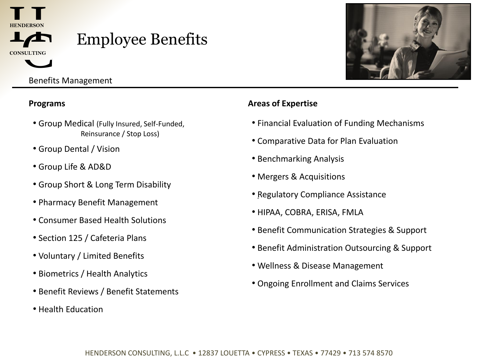![](_page_7_Picture_0.jpeg)

# Employee Benefits

Benefits Management

- Group Medical (Fully Insured, Self-Funded, Reinsurance / Stop Loss)
- Group Dental / Vision
- Group Life & AD&D
- Group Short & Long Term Disability
- Pharmacy Benefit Management
- Consumer Based Health Solutions
- Section 125 / Cafeteria Plans
- Voluntary / Limited Benefits
- Biometrics / Health Analytics
- Benefit Reviews / Benefit Statements
- Health Education

### **Programs Areas of Expertise**

- Financial Evaluation of Funding Mechanisms
- Comparative Data for Plan Evaluation
- Benchmarking Analysis
- Mergers & Acquisitions
- • Regulatory Compliance Assistance
- HIPAA, COBRA, ERISA, FMLA
- Benefit Communication Strategies & Support
- Benefit Administration Outsourcing & Support
- Wellness & Disease Management
- Ongoing Enrollment and Claims Services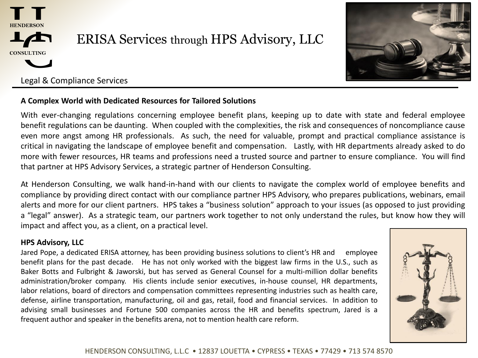![](_page_8_Picture_0.jpeg)

## ERISA Services through HPS Advisory, LLC

![](_page_8_Picture_2.jpeg)

### Legal & Compliance Services

#### **A Complex World with Dedicated Resources for Tailored Solutions**

With ever-changing regulations concerning employee benefit plans, keeping up to date with state and federal employee benefit regulations can be daunting. When coupled with the complexities, the risk and consequences of noncompliance cause even more angst among HR professionals. As such, the need for valuable, prompt and practical compliance assistance is critical in navigating the landscape of employee benefit and compensation. Lastly, with HR departments already asked to do more with fewer resources, HR teams and professions need a trusted source and partner to ensure compliance. You will find that partner at HPS Advisory Services, a strategic partner of Henderson Consulting.

At Henderson Consulting, we walk hand-in-hand with our clients to navigate the complex world of employee benefits and compliance by providing direct contact with our compliance partner HPS Advisory, who prepares publications, webinars, email alerts and more for our client partners. HPS takes a "business solution" approach to your issues (as opposed to just providing a "legal" answer). As a strategic team, our partners work together to not only understand the rules, but know how they will impact and affect you, as a client, on a practical level.

#### **HPS Advisory, LLC**

Jared Pope, a dedicated ERISA attorney, has been providing business solutions to client's HR and employee benefit plans for the past decade. He has not only worked with the biggest law firms in the U.S., such as Baker Botts and Fulbright & Jaworski, but has served as General Counsel for a multi-million dollar benefits administration/broker company. His clients include senior executives, in-house counsel, HR departments, labor relations, board of directors and compensation committees representing industries such as health care, defense, airline transportation, manufacturing, oil and gas, retail, food and financial services. In addition to advising small businesses and Fortune 500 companies across the HR and benefits spectrum, Jared is a frequent author and speaker in the benefits arena, not to mention health care reform.

![](_page_8_Picture_9.jpeg)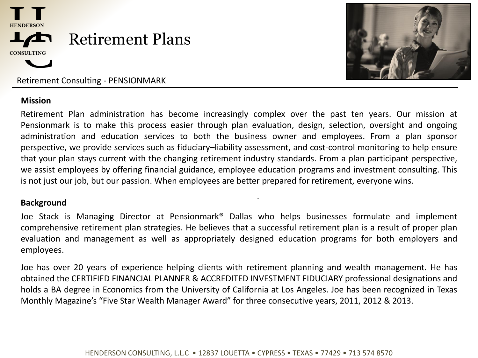![](_page_9_Picture_0.jpeg)

![](_page_9_Picture_1.jpeg)

Retirement Consulting - PENSIONMARK

#### **Mission**

Retirement Plan administration has become increasingly complex over the past ten years. Our mission at Pensionmark is to make this process easier through plan evaluation, design, selection, oversight and ongoing administration and education services to both the business owner and employees. From a plan sponsor perspective, we provide services such as fiduciary–liability assessment, and cost-control monitoring to help ensure that your plan stays current with the changing retirement industry standards. From a plan participant perspective, we assist employees by offering financial guidance, employee education programs and investment consulting. This is not just our job, but our passion. When employees are better prepared for retirement, everyone wins.

#### **Background**

Joe Stack is Managing Director at Pensionmark® Dallas who helps businesses formulate and implement comprehensive retirement plan strategies. He believes that a successful retirement plan is a result of proper plan evaluation and management as well as appropriately designed education programs for both employers and employees.

-

Joe has over 20 years of experience helping clients with retirement planning and wealth management. He has obtained the CERTIFIED FINANCIAL PLANNER & ACCREDITED INVESTMENT FIDUCIARY professional designations and holds a BA degree in Economics from the University of California at Los Angeles. Joe has been recognized in Texas Monthly Magazine's "Five Star Wealth Manager Award" for three consecutive years, 2011, 2012 & 2013.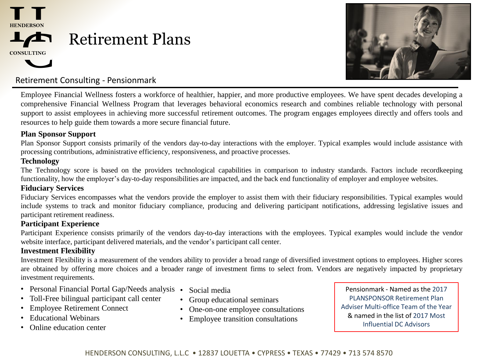![](_page_10_Picture_0.jpeg)

HENDERSON **CONSULTING**

![](_page_10_Picture_2.jpeg)

### Retirement Consulting - Pensionmark

Employee Financial Wellness fosters a workforce of healthier, happier, and more productive employees. We have spent decades developing a comprehensive Financial Wellness Program that leverages behavioral economics research and combines reliable technology with personal support to assist employees in achieving more successful retirement outcomes. The program engages employees directly and offers tools and resources to help guide them towards a more secure financial future.

#### **Plan Sponsor Support**

Plan Sponsor Support consists primarily of the vendors day-to-day interactions with the employer. Typical examples would include assistance with processing contributions, administrative efficiency, responsiveness, and proactive processes.

#### **Technology**

The Technology score is based on the providers technological capabilities in comparison to industry standards. Factors include recordkeeping functionality, how the employer's day-to-day responsibilities are impacted, and the back end functionality of employer and employee websites.

#### **Fiduciary Services**

Fiduciary Services encompasses what the vendors provide the employer to assist them with their fiduciary responsibilities. Typical examples would include systems to track and monitor fiduciary compliance, producing and delivering participant notifications, addressing legislative issues and participant retirement readiness.

#### **Participant Experience**

Participant Experience consists primarily of the vendors day-to-day interactions with the employees. Typical examples would include the vendor website interface, participant delivered materials, and the vendor's participant call center.

#### **Investment Flexibility**

Investment Flexibility is a measurement of the vendors ability to provider a broad range of diversified investment options to employees. Higher scores are obtained by offering more choices and a broader range of investment firms to select from. Vendors are negatively impacted by proprietary investment requirements.

- Personal Financial Portal Gap/Needs analysis Social media
- Toll-Free bilingual participant call center
- **Employee Retirement Connect**
- Educational Webinars
- Online education center
- 
- Group educational seminars
- One-on-one employee consultations
- Employee transition consultations

Pensionmark - Named as the 2017 PLANSPONSOR Retirement Plan Adviser Multi-office Team of the Year & named in the list of 2017 Most Influential DC Advisors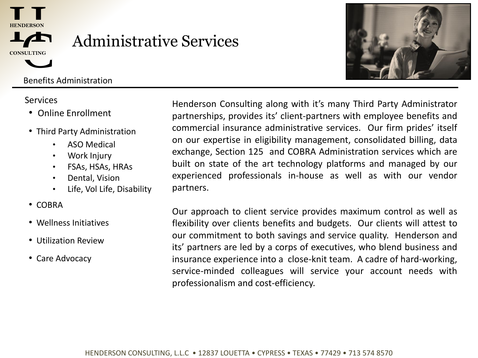![](_page_11_Picture_0.jpeg)

![](_page_11_Picture_1.jpeg)

# Administrative Services

### Benefits Administration

- Online Enrollment
- Third Party Administration
	- ASO Medical
	- Work Injury
	- FSAs, HSAs, HRAs
	- Dental, Vision
	- Life, Vol Life, Disability
- COBRA
- Wellness Initiatives
- Utilization Review
- Care Advocacy

Services **Edge is a Services** Henderson Consulting along with it's many Third Party Administrator partnerships, provides its' client-partners with employee benefits and commercial insurance administrative services. Our firm prides' itself on our expertise in eligibility management, consolidated billing, data exchange, Section 125 and COBRA Administration services which are built on state of the art technology platforms and managed by our experienced professionals in-house as well as with our vendor partners.

> Our approach to client service provides maximum control as well as flexibility over clients benefits and budgets. Our clients will attest to our commitment to both savings and service quality. Henderson and its' partners are led by a corps of executives, who blend business and insurance experience into a close-knit team. A cadre of hard-working, service-minded colleagues will service your account needs with professionalism and cost-efficiency.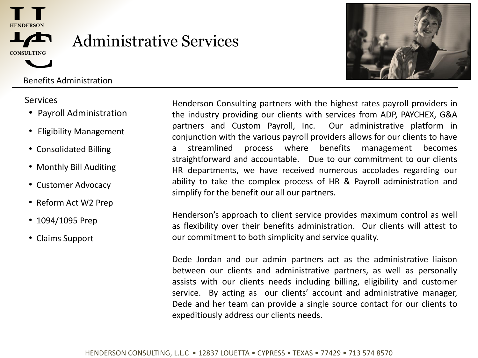![](_page_12_Picture_0.jpeg)

![](_page_12_Picture_1.jpeg)

# Administrative Services

Benefits Administration

- Payroll Administration
- Eligibility Management
- Consolidated Billing
- Monthly Bill Auditing
- Customer Advocacy
- Reform Act W2 Prep
- 1094/1095 Prep
- Claims Support

Services **Edge in the Henderson Consulting partners with the highest rates payroll providers in** the industry providing our clients with services from ADP, PAYCHEX, G&A partners and Custom Payroll, Inc. Our administrative platform in conjunction with the various payroll providers allows for our clients to have a streamlined process where benefits management becomes straightforward and accountable. Due to our commitment to our clients HR departments, we have received numerous accolades regarding our ability to take the complex process of HR & Payroll administration and simplify for the benefit our all our partners.

> Henderson's approach to client service provides maximum control as well as flexibility over their benefits administration. Our clients will attest to our commitment to both simplicity and service quality.

> Dede Jordan and our admin partners act as the administrative liaison between our clients and administrative partners, as well as personally assists with our clients needs including billing, eligibility and customer service. By acting as our clients' account and administrative manager, Dede and her team can provide a single source contact for our clients to expeditiously address our clients needs.